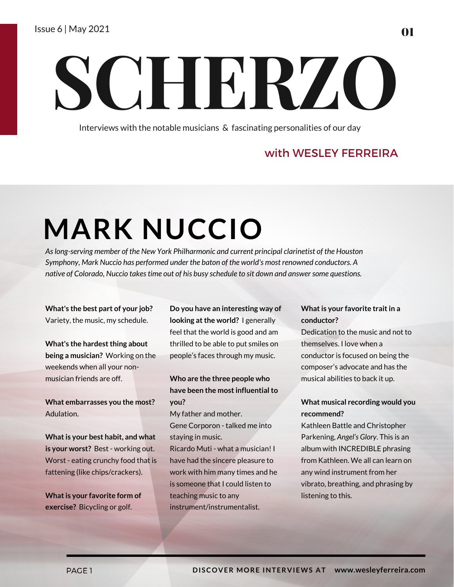# **SCHERZO**

Interviews with the notable musicians & fascinating personalities of our day

### with WESLEY FERREIRA

## **MARK NUCCIO**

*Aslong-serving member of the New York Philharmonic and current principal clarinetist of the Houston Symphony, Mark Nuccio has performed under the baton of the world's most renowned conductors. A native of Colorado, Nuccio takestime out of his busy schedule to sit down and answersome questions.*

**What's the best part of your job?** Variety, the music, my schedule.

**What's** the hardest thing about **being a musician?** Working on the weekends when all your nonmusician friends are off.

**What embarrasses you the most?** Adulation.

**Whatis your best habit, and what is your worst?** Best - working out. Worst - eating crunchy food that is fattening (like chips/crackers).

**Whatis your favorite form of exercise?** Bicycling or golf.

**Do you have an interesting way of looking at the world?** I generally feel that the world is good and am thrilled to be able to put smiles on people's faces through my music.

#### **Who are the three people who have been the mostinfluentialto you?**

My father and mother. Gene Corporon - talked me into

staying in music.

Ricardo Muti - what a musician! I have had the sincere pleasure to work with him many times and he is someone that I could listen to teaching music to any instrument/instrumentalist.

#### **Whatis your favorite traitin a conductor?**

Dedication to the music and not to themselves. I love when a conductor is focused on being the composer's advocate and has the musical abilities to back it up.

#### **What musical recording would you recommend?**

Kathleen Battle and Christopher Parkening, *Angel's Glory*. This is an album with INCREDIBLE phrasing from Kathleen. We all can learn on any wind instrument from her vibrato, breathing, and phrasing by listening to this.